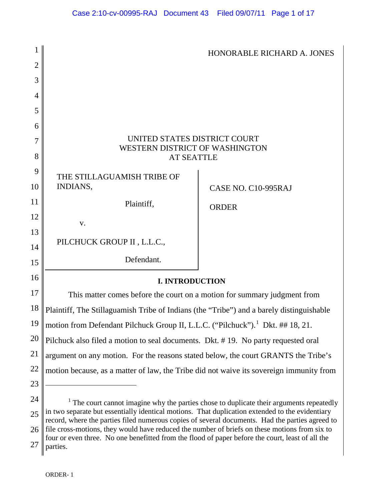|                |                                                                                                                                                                                                                                                                                                     | HONORABLE RICHARD A. JONES                                                                 |
|----------------|-----------------------------------------------------------------------------------------------------------------------------------------------------------------------------------------------------------------------------------------------------------------------------------------------------|--------------------------------------------------------------------------------------------|
| $\overline{2}$ |                                                                                                                                                                                                                                                                                                     |                                                                                            |
| 3              |                                                                                                                                                                                                                                                                                                     |                                                                                            |
| 4              |                                                                                                                                                                                                                                                                                                     |                                                                                            |
| 5              |                                                                                                                                                                                                                                                                                                     |                                                                                            |
| 6              |                                                                                                                                                                                                                                                                                                     |                                                                                            |
| 7              | UNITED STATES DISTRICT COURT                                                                                                                                                                                                                                                                        |                                                                                            |
| 8              | <b>WESTERN DISTRICT OF WASHINGTON</b><br><b>AT SEATTLE</b>                                                                                                                                                                                                                                          |                                                                                            |
| 9              |                                                                                                                                                                                                                                                                                                     |                                                                                            |
| 10             | THE STILLAGUAMISH TRIBE OF<br><b>INDIANS,</b>                                                                                                                                                                                                                                                       | CASE NO. C10-995RAJ                                                                        |
| 11             | Plaintiff,                                                                                                                                                                                                                                                                                          |                                                                                            |
| 12             |                                                                                                                                                                                                                                                                                                     | <b>ORDER</b>                                                                               |
| 13             | V.                                                                                                                                                                                                                                                                                                  |                                                                                            |
| 14             | PILCHUCK GROUP II, L.L.C.,                                                                                                                                                                                                                                                                          |                                                                                            |
| 15             | Defendant.                                                                                                                                                                                                                                                                                          |                                                                                            |
| 16             | <b>I. INTRODUCTION</b>                                                                                                                                                                                                                                                                              |                                                                                            |
| 17             | This matter comes before the court on a motion for summary judgment from                                                                                                                                                                                                                            |                                                                                            |
| 18             | Plaintiff, The Stillaguamish Tribe of Indians (the "Tribe") and a barely distinguishable                                                                                                                                                                                                            |                                                                                            |
| 19             | motion from Defendant Pilchuck Group II, L.L.C. ("Pilchuck"). <sup>1</sup> Dkt. ## 18, 21.                                                                                                                                                                                                          |                                                                                            |
| 20             | Pilchuck also filed a motion to seal documents. Dkt. #19. No party requested oral                                                                                                                                                                                                                   |                                                                                            |
| 21             | argument on any motion. For the reasons stated below, the court GRANTS the Tribe's                                                                                                                                                                                                                  |                                                                                            |
| 22             | motion because, as a matter of law, the Tribe did not waive its sovereign immunity from                                                                                                                                                                                                             |                                                                                            |
| 23             |                                                                                                                                                                                                                                                                                                     |                                                                                            |
| 24             |                                                                                                                                                                                                                                                                                                     | $1$ The court cannot imagine why the parties chose to duplicate their arguments repeatedly |
| 25<br>26       | in two separate but essentially identical motions. That duplication extended to the evidentiary<br>record, where the parties filed numerous copies of several documents. Had the parties agreed to<br>file cross-motions, they would have reduced the number of briefs on these motions from six to |                                                                                            |

<span id="page-0-1"></span><span id="page-0-0"></span>27 parties. four or even three. No one benefitted from the flood of paper before the court, least of all the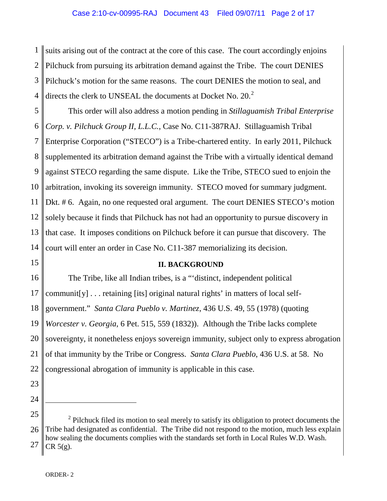1 2 3 4 suits arising out of the contract at the core of this case. The court accordingly enjoins Pilchuck from pursuing its arbitration demand against the Tribe. The court DENIES Pilchuck's motion for the same reasons. The court DENIES the motion to seal, and directs the clerk to UNSEAL the documents at Docket No. [2](#page-0-1)0. $2$ 

5 6 7 8 9 10 11 12 13 14 This order will also address a motion pending in *Stillaguamish Tribal Enterprise Corp. v. Pilchuck Group II, L.L.C.*, Case No. C11-387RAJ. Stillaguamish Tribal Enterprise Corporation ("STECO") is a Tribe-chartered entity. In early 2011, Pilchuck supplemented its arbitration demand against the Tribe with a virtually identical demand against STECO regarding the same dispute. Like the Tribe, STECO sued to enjoin the arbitration, invoking its sovereign immunity. STECO moved for summary judgment. Dkt. # 6. Again, no one requested oral argument. The court DENIES STECO's motion solely because it finds that Pilchuck has not had an opportunity to pursue discovery in that case. It imposes conditions on Pilchuck before it can pursue that discovery. The court will enter an order in Case No. C11-387 memorializing its decision.

## **II. BACKGROUND**

16 17 18 19 20 21 22 The Tribe, like all Indian tribes, is a "'distinct, independent political communit[y] . . . retaining [its] original natural rights' in matters of local selfgovernment." *Santa Clara Pueblo v. Martinez*, 436 U.S. 49, 55 (1978) (quoting *Worcester v. Georgia*, 6 Pet. 515, 559 (1832)). Although the Tribe lacks complete sovereignty, it nonetheless enjoys sovereign immunity, subject only to express abrogation of that immunity by the Tribe or Congress. *Santa Clara Pueblo*, 436 U.S. at 58. No congressional abrogation of immunity is applicable in this case.

<span id="page-1-0"></span>23 24 25

 $\overline{a}$ 

<sup>26</sup> 27  $2$  Pilchuck filed its motion to seal merely to satisfy its obligation to protect documents the Tribe had designated as confidential. The Tribe did not respond to the motion, much less explain how sealing the documents complies with the standards set forth in Local Rules W.D. Wash. CR  $5(g)$ .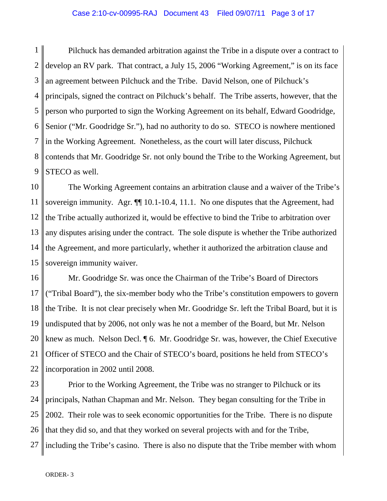1 2 3 4 5 6 7 8 9 Pilchuck has demanded arbitration against the Tribe in a dispute over a contract to develop an RV park. That contract, a July 15, 2006 "Working Agreement," is on its face an agreement between Pilchuck and the Tribe. David Nelson, one of Pilchuck's principals, signed the contract on Pilchuck's behalf. The Tribe asserts, however, that the person who purported to sign the Working Agreement on its behalf, Edward Goodridge, Senior ("Mr. Goodridge Sr."), had no authority to do so. STECO is nowhere mentioned in the Working Agreement. Nonetheless, as the court will later discuss, Pilchuck contends that Mr. Goodridge Sr. not only bound the Tribe to the Working Agreement, but STECO as well.

10 11 12 13 14 15 The Working Agreement contains an arbitration clause and a waiver of the Tribe's sovereign immunity. Agr.  $\P$  10.1-10.4, 11.1. No one disputes that the Agreement, had the Tribe actually authorized it, would be effective to bind the Tribe to arbitration over any disputes arising under the contract. The sole dispute is whether the Tribe authorized the Agreement, and more particularly, whether it authorized the arbitration clause and sovereign immunity waiver.

16 17 18 19 20 21 22 Mr. Goodridge Sr. was once the Chairman of the Tribe's Board of Directors ("Tribal Board"), the six-member body who the Tribe's constitution empowers to govern the Tribe. It is not clear precisely when Mr. Goodridge Sr. left the Tribal Board, but it is undisputed that by 2006, not only was he not a member of the Board, but Mr. Nelson knew as much. Nelson Decl. ¶ 6. Mr. Goodridge Sr. was, however, the Chief Executive Officer of STECO and the Chair of STECO's board, positions he held from STECO's incorporation in 2002 until 2008.

23 24 25 26 27 Prior to the Working Agreement, the Tribe was no stranger to Pilchuck or its principals, Nathan Chapman and Mr. Nelson. They began consulting for the Tribe in 2002. Their role was to seek economic opportunities for the Tribe. There is no dispute that they did so, and that they worked on several projects with and for the Tribe, including the Tribe's casino. There is also no dispute that the Tribe member with whom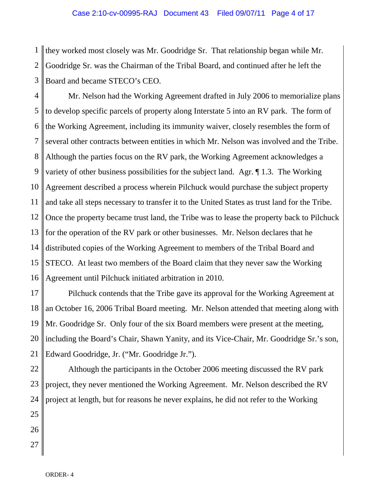### Case 2:10-cv-00995-RAJ Document 43 Filed 09/07/11 Page 4 of 17

1 2 3 they worked most closely was Mr. Goodridge Sr. That relationship began while Mr. Goodridge Sr. was the Chairman of the Tribal Board, and continued after he left the Board and became STECO's CEO.

4 5 6 7 8 9 10 11 12 13 14 15 16 Mr. Nelson had the Working Agreement drafted in July 2006 to memorialize plans to develop specific parcels of property along Interstate 5 into an RV park. The form of the Working Agreement, including its immunity waiver, closely resembles the form of several other contracts between entities in which Mr. Nelson was involved and the Tribe. Although the parties focus on the RV park, the Working Agreement acknowledges a variety of other business possibilities for the subject land. Agr. ¶ 1.3. The Working Agreement described a process wherein Pilchuck would purchase the subject property and take all steps necessary to transfer it to the United States as trust land for the Tribe. Once the property became trust land, the Tribe was to lease the property back to Pilchuck for the operation of the RV park or other businesses. Mr. Nelson declares that he distributed copies of the Working Agreement to members of the Tribal Board and STECO. At least two members of the Board claim that they never saw the Working Agreement until Pilchuck initiated arbitration in 2010.

Pilchuck contends that the Tribe gave its approval for the Working Agreement at an October 16, 2006 Tribal Board meeting. Mr. Nelson attended that meeting along with Mr. Goodridge Sr. Only four of the six Board members were present at the meeting, including the Board's Chair, Shawn Yanity, and its Vice-Chair, Mr. Goodridge Sr.'s son, Edward Goodridge, Jr. ("Mr. Goodridge Jr.").

Although the participants in the October 2006 meeting discussed the RV park project, they never mentioned the Working Agreement. Mr. Nelson described the RV project at length, but for reasons he never explains, he did not refer to the Working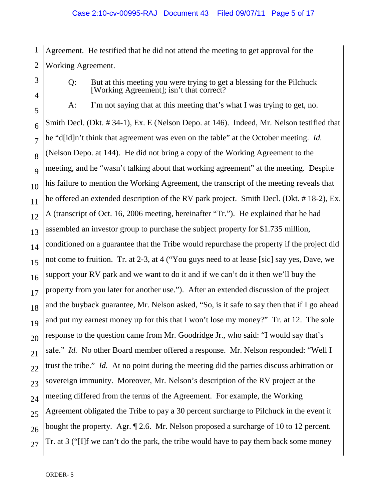1 2 Agreement. He testified that he did not attend the meeting to get approval for the Working Agreement.

Q: But at this meeting you were trying to get a blessing for the Pilchuck [Working Agreement]; isn't that correct?

27 A: I'm not saying that at this meeting that's what I was trying to get, no. Smith Decl. (Dkt. # 34-1), Ex. E (Nelson Depo. at 146). Indeed, Mr. Nelson testified that he "d[id]n't think that agreement was even on the table" at the October meeting. *Id.* (Nelson Depo. at 144). He did not bring a copy of the Working Agreement to the meeting, and he "wasn't talking about that working agreement" at the meeting. Despite his failure to mention the Working Agreement, the transcript of the meeting reveals that he offered an extended description of the RV park project. Smith Decl. (Dkt. # 18-2), Ex. A (transcript of Oct. 16, 2006 meeting, hereinafter "Tr."). He explained that he had assembled an investor group to purchase the subject property for \$1.735 million, conditioned on a guarantee that the Tribe would repurchase the property if the project did not come to fruition. Tr. at 2-3, at 4 ("You guys need to at lease [sic] say yes, Dave, we support your RV park and we want to do it and if we can't do it then we'll buy the property from you later for another use."). After an extended discussion of the project and the buyback guarantee, Mr. Nelson asked, "So, is it safe to say then that if I go ahead and put my earnest money up for this that I won't lose my money?" Tr. at 12. The sole response to the question came from Mr. Goodridge Jr., who said: "I would say that's safe." *Id.* No other Board member offered a response. Mr. Nelson responded: "Well I trust the tribe." *Id.* At no point during the meeting did the parties discuss arbitration or sovereign immunity. Moreover, Mr. Nelson's description of the RV project at the meeting differed from the terms of the Agreement. For example, the Working Agreement obligated the Tribe to pay a 30 percent surcharge to Pilchuck in the event it bought the property. Agr. ¶ 2.6. Mr. Nelson proposed a surcharge of 10 to 12 percent. Tr. at 3 ("[I]f we can't do the park, the tribe would have to pay them back some money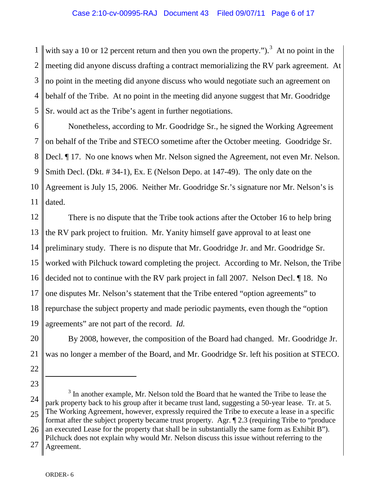1 2 3 4 5 with say a 10 or 12 percent return and then you own the property." $\cdot$ .<sup>[3](#page-1-0)</sup> At no point in the meeting did anyone discuss drafting a contract memorializing the RV park agreement. At no point in the meeting did anyone discuss who would negotiate such an agreement on behalf of the Tribe. At no point in the meeting did anyone suggest that Mr. Goodridge Sr. would act as the Tribe's agent in further negotiations.

6 7 8 9 10 11 Nonetheless, according to Mr. Goodridge Sr., he signed the Working Agreement on behalf of the Tribe and STECO sometime after the October meeting. Goodridge Sr. Decl. ¶ 17. No one knows when Mr. Nelson signed the Agreement, not even Mr. Nelson. Smith Decl. (Dkt. # 34-1), Ex. E (Nelson Depo. at 147-49). The only date on the Agreement is July 15, 2006. Neither Mr. Goodridge Sr.'s signature nor Mr. Nelson's is dated.

There is no dispute that the Tribe took actions after the October 16 to help bring the RV park project to fruition. Mr. Yanity himself gave approval to at least one preliminary study. There is no dispute that Mr. Goodridge Jr. and Mr. Goodridge Sr. worked with Pilchuck toward completing the project. According to Mr. Nelson, the Tribe decided not to continue with the RV park project in fall 2007. Nelson Decl. ¶ 18. No one disputes Mr. Nelson's statement that the Tribe entered "option agreements" to repurchase the subject property and made periodic payments, even though the "option agreements" are not part of the record. *Id.*

By 2008, however, the composition of the Board had changed. Mr. Goodridge Jr. was no longer a member of the Board, and Mr. Goodridge Sr. left his position at STECO.

<span id="page-5-0"></span><sup>3</sup> In another example, Mr. Nelson told the Board that he wanted the Tribe to lease the park property back to his group after it became trust land, suggesting a 50-year lease. Tr. at 5. The Working Agreement, however, expressly required the Tribe to execute a lease in a specific format after the subject property became trust property. Agr. ¶ 2.3 (requiring Tribe to "produce an executed Lease for the property that shall be in substantially the same form as Exhibit B"). Pilchuck does not explain why would Mr. Nelson discuss this issue without referring to the Agreement.

 $\overline{a}$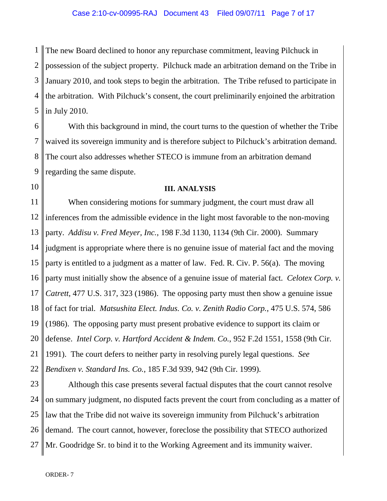1 2 3 4 5 The new Board declined to honor any repurchase commitment, leaving Pilchuck in possession of the subject property. Pilchuck made an arbitration demand on the Tribe in January 2010, and took steps to begin the arbitration. The Tribe refused to participate in the arbitration. With Pilchuck's consent, the court preliminarily enjoined the arbitration in July 2010.

6 7 8 9 With this background in mind, the court turns to the question of whether the Tribe waived its sovereign immunity and is therefore subject to Pilchuck's arbitration demand. The court also addresses whether STECO is immune from an arbitration demand regarding the same dispute.

10

### **III. ANALYSIS**

11 12 13 14 15 16 17 18 19 20 21 22 When considering motions for summary judgment, the court must draw all inferences from the admissible evidence in the light most favorable to the non-moving party. *Addisu v. Fred Meyer, Inc.*, 198 F.3d 1130, 1134 (9th Cir. 2000). Summary judgment is appropriate where there is no genuine issue of material fact and the moving party is entitled to a judgment as a matter of law. Fed. R. Civ. P. 56(a). The moving party must initially show the absence of a genuine issue of material fact. *Celotex Corp. v. Catrett*, 477 U.S. 317, 323 (1986). The opposing party must then show a genuine issue of fact for trial. *Matsushita Elect. Indus. Co. v. Zenith Radio Corp.*, 475 U.S. 574, 586 (1986). The opposing party must present probative evidence to support its claim or defense. *Intel Corp. v. Hartford Accident & Indem. Co.*, 952 F.2d 1551, 1558 (9th Cir. 1991). The court defers to neither party in resolving purely legal questions. *See Bendixen v. Standard Ins. Co.*, 185 F.3d 939, 942 (9th Cir. 1999).

23 24 25 26 27 Although this case presents several factual disputes that the court cannot resolve on summary judgment, no disputed facts prevent the court from concluding as a matter of law that the Tribe did not waive its sovereign immunity from Pilchuck's arbitration demand. The court cannot, however, foreclose the possibility that STECO authorized Mr. Goodridge Sr. to bind it to the Working Agreement and its immunity waiver.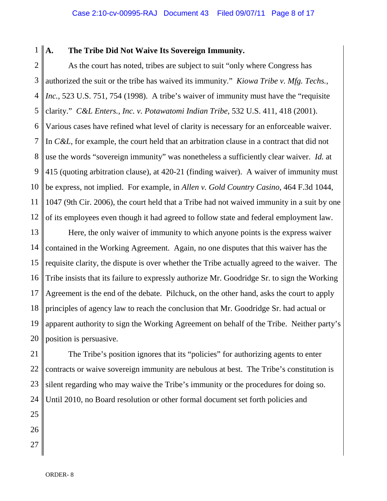#### 1 **A. The Tribe Did Not Waive Its Sovereign Immunity.**

2 3 4 5 6 7 8 9 10 11 12 As the court has noted, tribes are subject to suit "only where Congress has authorized the suit or the tribe has waived its immunity." *Kiowa Tribe v. Mfg. Techs., Inc.*, 523 U.S. 751, 754 (1998). A tribe's waiver of immunity must have the "requisite clarity." *C&L Enters., Inc. v. Potawatomi Indian Tribe*, 532 U.S. 411, 418 (2001). Various cases have refined what level of clarity is necessary for an enforceable waiver. In *C&L*, for example, the court held that an arbitration clause in a contract that did not use the words "sovereign immunity" was nonetheless a sufficiently clear waiver. *Id.* at 415 (quoting arbitration clause), at 420-21 (finding waiver). A waiver of immunity must be express, not implied. For example, in *Allen v. Gold Country Casino*, 464 F.3d 1044, 1047 (9th Cir. 2006), the court held that a Tribe had not waived immunity in a suit by one of its employees even though it had agreed to follow state and federal employment law.

13 14 15 16 17 18 19 20 Here, the only waiver of immunity to which anyone points is the express waiver contained in the Working Agreement. Again, no one disputes that this waiver has the requisite clarity, the dispute is over whether the Tribe actually agreed to the waiver. The Tribe insists that its failure to expressly authorize Mr. Goodridge Sr. to sign the Working Agreement is the end of the debate. Pilchuck, on the other hand, asks the court to apply principles of agency law to reach the conclusion that Mr. Goodridge Sr. had actual or apparent authority to sign the Working Agreement on behalf of the Tribe. Neither party's position is persuasive.

21 The Tribe's position ignores that its "policies" for authorizing agents to enter contracts or waive sovereign immunity are nebulous at best. The Tribe's constitution is silent regarding who may waive the Tribe's immunity or the procedures for doing so. Until 2010, no Board resolution or other formal document set forth policies and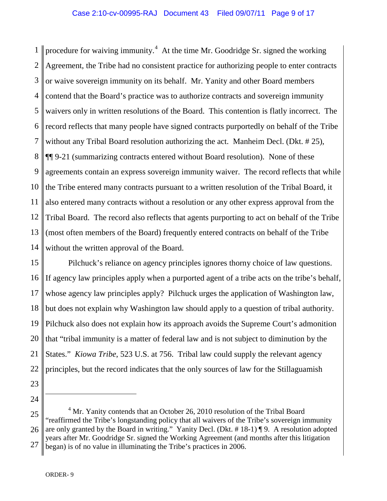1 2 3 4 5 6 7 8 9 10 11 12 13 14 procedure for waiving immunity.<sup>[4](#page-5-0)</sup> At the time Mr. Goodridge Sr. signed the working Agreement, the Tribe had no consistent practice for authorizing people to enter contracts or waive sovereign immunity on its behalf. Mr. Yanity and other Board members contend that the Board's practice was to authorize contracts and sovereign immunity waivers only in written resolutions of the Board. This contention is flatly incorrect. The record reflects that many people have signed contracts purportedly on behalf of the Tribe without any Tribal Board resolution authorizing the act. Manheim Decl. (Dkt. # 25), ¶¶ 9-21 (summarizing contracts entered without Board resolution). None of these agreements contain an express sovereign immunity waiver. The record reflects that while the Tribe entered many contracts pursuant to a written resolution of the Tribal Board, it also entered many contracts without a resolution or any other express approval from the Tribal Board. The record also reflects that agents purporting to act on behalf of the Tribe (most often members of the Board) frequently entered contracts on behalf of the Tribe without the written approval of the Board.

15 16 17 18 19 20 21 22 Pilchuck's reliance on agency principles ignores thorny choice of law questions. If agency law principles apply when a purported agent of a tribe acts on the tribe's behalf, whose agency law principles apply? Pilchuck urges the application of Washington law, but does not explain why Washington law should apply to a question of tribal authority. Pilchuck also does not explain how its approach avoids the Supreme Court's admonition that "tribal immunity is a matter of federal law and is not subject to diminution by the States." *Kiowa Tribe*, 523 U.S. at 756. Tribal law could supply the relevant agency principles, but the record indicates that the only sources of law for the Stillaguamish

<span id="page-8-0"></span>23 24

 $\overline{a}$ 

25 26 27  $4$  Mr. Yanity contends that an October 26, 2010 resolution of the Tribal Board "reaffirmed the Tribe's longstanding policy that all waivers of the Tribe's sovereign immunity are only granted by the Board in writing." Yanity Decl. (Dkt. # 18-1) ¶ 9. A resolution adopted years after Mr. Goodridge Sr. signed the Working Agreement (and months after this litigation began) is of no value in illuminating the Tribe's practices in 2006.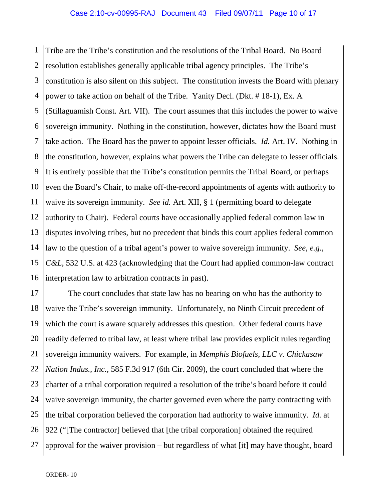1 2 3 4 5 6 7 8 9 10 11 12 13 14 15 16 Tribe are the Tribe's constitution and the resolutions of the Tribal Board. No Board resolution establishes generally applicable tribal agency principles. The Tribe's constitution is also silent on this subject. The constitution invests the Board with plenary power to take action on behalf of the Tribe. Yanity Decl. (Dkt. # 18-1), Ex. A (Stillaguamish Const. Art. VII). The court assumes that this includes the power to waive sovereign immunity. Nothing in the constitution, however, dictates how the Board must take action. The Board has the power to appoint lesser officials. *Id.* Art. IV. Nothing in the constitution, however, explains what powers the Tribe can delegate to lesser officials. It is entirely possible that the Tribe's constitution permits the Tribal Board, or perhaps even the Board's Chair, to make off-the-record appointments of agents with authority to waive its sovereign immunity. *See id.* Art. XII, § 1 (permitting board to delegate authority to Chair). Federal courts have occasionally applied federal common law in disputes involving tribes, but no precedent that binds this court applies federal common law to the question of a tribal agent's power to waive sovereign immunity. *See*, *e.g.*, *C&L*, 532 U.S. at 423 (acknowledging that the Court had applied common-law contract interpretation law to arbitration contracts in past).

17 18 19 20 21 22 23 24 25 26 27 The court concludes that state law has no bearing on who has the authority to waive the Tribe's sovereign immunity. Unfortunately, no Ninth Circuit precedent of which the court is aware squarely addresses this question. Other federal courts have readily deferred to tribal law, at least where tribal law provides explicit rules regarding sovereign immunity waivers. For example, in *Memphis Biofuels, LLC v. Chickasaw Nation Indus., Inc.*, 585 F.3d 917 (6th Cir. 2009), the court concluded that where the charter of a tribal corporation required a resolution of the tribe's board before it could waive sovereign immunity, the charter governed even where the party contracting with the tribal corporation believed the corporation had authority to waive immunity. *Id.* at 922 ("[The contractor] believed that [the tribal corporation] obtained the required approval for the waiver provision – but regardless of what [it] may have thought, board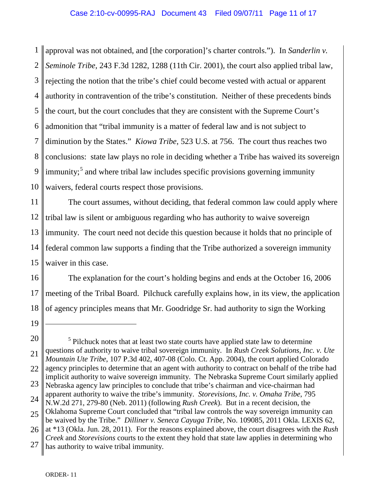1 2 3 4 5 6 7 8 9 10 approval was not obtained, and [the corporation]'s charter controls."). In *Sanderlin v. Seminole Tribe*, 243 F.3d 1282, 1288 (11th Cir. 2001), the court also applied tribal law, rejecting the notion that the tribe's chief could become vested with actual or apparent authority in contravention of the tribe's constitution. Neither of these precedents binds the court, but the court concludes that they are consistent with the Supreme Court's admonition that "tribal immunity is a matter of federal law and is not subject to diminution by the States." *Kiowa Tribe*, 523 U.S. at 756. The court thus reaches two conclusions: state law plays no role in deciding whether a Tribe has waived its sovereign  $\text{immunity:}^5$  $\text{immunity:}^5$  and where tribal law includes specific provisions governing immunity waivers, federal courts respect those provisions.

11 12 13 14 15 The court assumes, without deciding, that federal common law could apply where tribal law is silent or ambiguous regarding who has authority to waive sovereign immunity. The court need not decide this question because it holds that no principle of federal common law supports a finding that the Tribe authorized a sovereign immunity waiver in this case.

16 17 18 The explanation for the court's holding begins and ends at the October 16, 2006 meeting of the Tribal Board. Pilchuck carefully explains how, in its view, the application of agency principles means that Mr. Goodridge Sr. had authority to sign the Working

19

 $\overline{a}$ 

<sup>20</sup> 21 22 23 24 25  $<sup>5</sup>$  Pilchuck notes that at least two state courts have applied state law to determine</sup> questions of authority to waive tribal sovereign immunity. In *Rush Creek Solutions, Inc. v. Ute Mountain Ute Tribe*, 107 P.3d 402, 407-08 (Colo. Ct. App. 2004), the court applied Colorado agency principles to determine that an agent with authority to contract on behalf of the tribe had implicit authority to waive sovereign immunity. The Nebraska Supreme Court similarly applied Nebraska agency law principles to conclude that tribe's chairman and vice-chairman had apparent authority to waive the tribe's immunity. *Storevisions, Inc. v. Omaha Tribe*, 795 N.W.2d 271, 279-80 (Neb. 2011) (following *Rush Creek*). But in a recent decision, the Oklahoma Supreme Court concluded that "tribal law controls the way sovereign immunity can

<span id="page-10-0"></span><sup>26</sup> be waived by the Tribe." *Dilliner v. Seneca Cayuga Tribe*, No. 109085, 2011 Okla. LEXIS 62, at \*13 (Okla. Jun. 28, 2011). For the reasons explained above, the court disagrees with the *Rush* 

<sup>27</sup> *Creek* and *Storevisions* courts to the extent they hold that state law applies in determining who has authority to waive tribal immunity.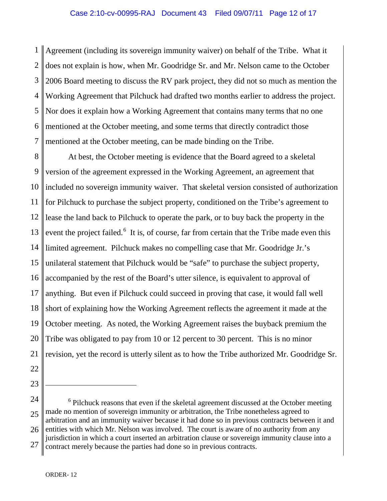1 2 3 4 5 6 7 Agreement (including its sovereign immunity waiver) on behalf of the Tribe. What it does not explain is how, when Mr. Goodridge Sr. and Mr. Nelson came to the October 2006 Board meeting to discuss the RV park project, they did not so much as mention the Working Agreement that Pilchuck had drafted two months earlier to address the project. Nor does it explain how a Working Agreement that contains many terms that no one mentioned at the October meeting, and some terms that directly contradict those mentioned at the October meeting, can be made binding on the Tribe.

8 9 10 11 12 13 14 15 16 17 18 19 20 21 22 At best, the October meeting is evidence that the Board agreed to a skeletal version of the agreement expressed in the Working Agreement, an agreement that included no sovereign immunity waiver. That skeletal version consisted of authorization for Pilchuck to purchase the subject property, conditioned on the Tribe's agreement to lease the land back to Pilchuck to operate the park, or to buy back the property in the event the project failed.<sup>[6](#page-10-0)</sup> It is, of course, far from certain that the Tribe made even this limited agreement. Pilchuck makes no compelling case that Mr. Goodridge Jr.'s unilateral statement that Pilchuck would be "safe" to purchase the subject property, accompanied by the rest of the Board's utter silence, is equivalent to approval of anything. But even if Pilchuck could succeed in proving that case, it would fall well short of explaining how the Working Agreement reflects the agreement it made at the October meeting. As noted, the Working Agreement raises the buyback premium the Tribe was obligated to pay from 10 or 12 percent to 30 percent. This is no minor revision, yet the record is utterly silent as to how the Tribe authorized Mr. Goodridge Sr.

24 25 26 27  $6$  Pilchuck reasons that even if the skeletal agreement discussed at the October meeting made no mention of sovereign immunity or arbitration, the Tribe nonetheless agreed to arbitration and an immunity waiver because it had done so in previous contracts between it and entities with which Mr. Nelson was involved. The court is aware of no authority from any jurisdiction in which a court inserted an arbitration clause or sovereign immunity clause into a contract merely because the parties had done so in previous contracts.

23

 $\overline{a}$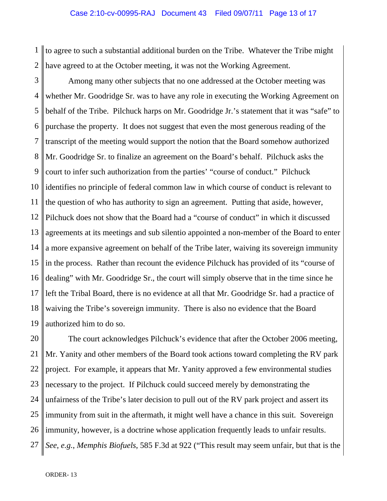1 2 to agree to such a substantial additional burden on the Tribe. Whatever the Tribe might have agreed to at the October meeting, it was not the Working Agreement.

3 4 5 6 7 8 9 10 11 12 13 14 15 16 17 18 19 Among many other subjects that no one addressed at the October meeting was whether Mr. Goodridge Sr. was to have any role in executing the Working Agreement on behalf of the Tribe. Pilchuck harps on Mr. Goodridge Jr.'s statement that it was "safe" to purchase the property. It does not suggest that even the most generous reading of the transcript of the meeting would support the notion that the Board somehow authorized Mr. Goodridge Sr. to finalize an agreement on the Board's behalf. Pilchuck asks the court to infer such authorization from the parties' "course of conduct." Pilchuck identifies no principle of federal common law in which course of conduct is relevant to the question of who has authority to sign an agreement. Putting that aside, however, Pilchuck does not show that the Board had a "course of conduct" in which it discussed agreements at its meetings and sub silentio appointed a non-member of the Board to enter a more expansive agreement on behalf of the Tribe later, waiving its sovereign immunity in the process. Rather than recount the evidence Pilchuck has provided of its "course of dealing" with Mr. Goodridge Sr., the court will simply observe that in the time since he left the Tribal Board, there is no evidence at all that Mr. Goodridge Sr. had a practice of waiving the Tribe's sovereign immunity. There is also no evidence that the Board authorized him to do so.

20 21 22 23 24 25 26 27 The court acknowledges Pilchuck's evidence that after the October 2006 meeting, Mr. Yanity and other members of the Board took actions toward completing the RV park project. For example, it appears that Mr. Yanity approved a few environmental studies necessary to the project. If Pilchuck could succeed merely by demonstrating the unfairness of the Tribe's later decision to pull out of the RV park project and assert its immunity from suit in the aftermath, it might well have a chance in this suit. Sovereign immunity, however, is a doctrine whose application frequently leads to unfair results. *See*, *e.g.*, *Memphis Biofuels*, 585 F.3d at 922 ("This result may seem unfair, but that is the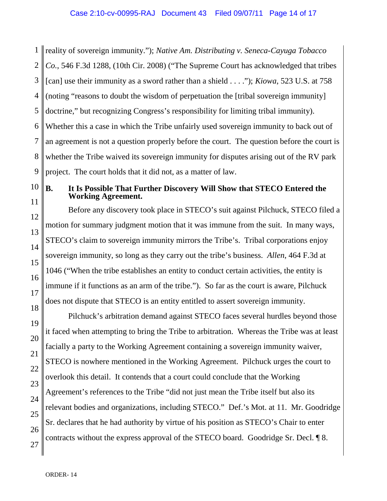1 2 3 4 5 6 7 8 9 reality of sovereign immunity."); *Native Am. Distributing v. Seneca-Cayuga Tobacco Co.*, 546 F.3d 1288, (10th Cir. 2008) ("The Supreme Court has acknowledged that tribes [can] use their immunity as a sword rather than a shield . . . ."); *Kiowa*, 523 U.S. at 758 (noting "reasons to doubt the wisdom of perpetuation the [tribal sovereign immunity] doctrine," but recognizing Congress's responsibility for limiting tribal immunity). Whether this a case in which the Tribe unfairly used sovereign immunity to back out of an agreement is not a question properly before the court. The question before the court is whether the Tribe waived its sovereign immunity for disputes arising out of the RV park project. The court holds that it did not, as a matter of law.

10 11

12

13

14

15

16

17

18

19

20

21

22

23

# **B. It Is Possible That Further Discovery Will Show that STECO Entered the Working Agreement.**

Before any discovery took place in STECO's suit against Pilchuck, STECO filed a motion for summary judgment motion that it was immune from the suit. In many ways, STECO's claim to sovereign immunity mirrors the Tribe's. Tribal corporations enjoy sovereign immunity, so long as they carry out the tribe's business. *Allen*, 464 F.3d at 1046 ("When the tribe establishes an entity to conduct certain activities, the entity is immune if it functions as an arm of the tribe."). So far as the court is aware, Pilchuck does not dispute that STECO is an entity entitled to assert sovereign immunity.

Pilchuck's arbitration demand against STECO faces several hurdles beyond those it faced when attempting to bring the Tribe to arbitration. Whereas the Tribe was at least facially a party to the Working Agreement containing a sovereign immunity waiver, STECO is nowhere mentioned in the Working Agreement. Pilchuck urges the court to overlook this detail. It contends that a court could conclude that the Working Agreement's references to the Tribe "did not just mean the Tribe itself but also its relevant bodies and organizations, including STECO." Def.'s Mot. at 11. Mr. Goodridge Sr. declares that he had authority by virtue of his position as STECO's Chair to enter contracts without the express approval of the STECO board. Goodridge Sr. Decl. ¶ 8.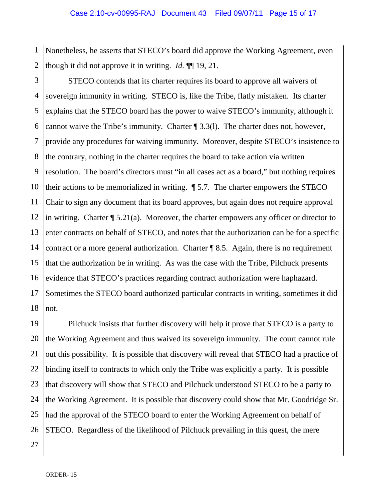1 2 Nonetheless, he asserts that STECO's board did approve the Working Agreement, even though it did not approve it in writing. *Id.* ¶¶ 19, 21.

3 4 5 6 7 8 9 10 11 12 13 14 15 16 17 18 STECO contends that its charter requires its board to approve all waivers of sovereign immunity in writing. STECO is, like the Tribe, flatly mistaken. Its charter explains that the STECO board has the power to waive STECO's immunity, although it cannot waive the Tribe's immunity. Charter ¶ 3.3(l). The charter does not, however, provide any procedures for waiving immunity. Moreover, despite STECO's insistence to the contrary, nothing in the charter requires the board to take action via written resolution. The board's directors must "in all cases act as a board," but nothing requires their actions to be memorialized in writing. ¶ 5.7. The charter empowers the STECO Chair to sign any document that its board approves, but again does not require approval in writing. Charter  $\sqrt{\ }$  5.21(a). Moreover, the charter empowers any officer or director to enter contracts on behalf of STECO, and notes that the authorization can be for a specific contract or a more general authorization. Charter ¶ 8.5. Again, there is no requirement that the authorization be in writing. As was the case with the Tribe, Pilchuck presents evidence that STECO's practices regarding contract authorization were haphazard. Sometimes the STECO board authorized particular contracts in writing, sometimes it did not.

19 20 21 22 23 24 25 26 Pilchuck insists that further discovery will help it prove that STECO is a party to the Working Agreement and thus waived its sovereign immunity. The court cannot rule out this possibility. It is possible that discovery will reveal that STECO had a practice of binding itself to contracts to which only the Tribe was explicitly a party. It is possible that discovery will show that STECO and Pilchuck understood STECO to be a party to the Working Agreement. It is possible that discovery could show that Mr. Goodridge Sr. had the approval of the STECO board to enter the Working Agreement on behalf of STECO. Regardless of the likelihood of Pilchuck prevailing in this quest, the mere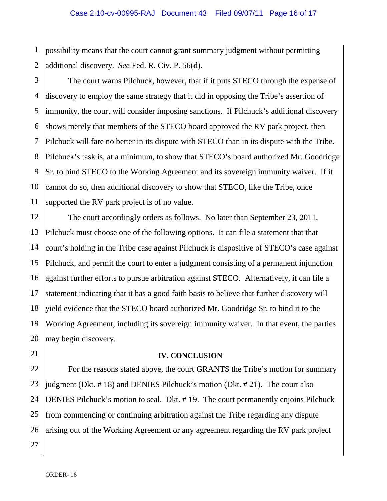1 2 possibility means that the court cannot grant summary judgment without permitting additional discovery. *See* Fed. R. Civ. P. 56(d).

3 4 5 6 7 8 9 10 11 The court warns Pilchuck, however, that if it puts STECO through the expense of discovery to employ the same strategy that it did in opposing the Tribe's assertion of immunity, the court will consider imposing sanctions. If Pilchuck's additional discovery shows merely that members of the STECO board approved the RV park project, then Pilchuck will fare no better in its dispute with STECO than in its dispute with the Tribe. Pilchuck's task is, at a minimum, to show that STECO's board authorized Mr. Goodridge Sr. to bind STECO to the Working Agreement and its sovereign immunity waiver. If it cannot do so, then additional discovery to show that STECO, like the Tribe, once supported the RV park project is of no value.

12 13 14 15 16 17 18 19 20 The court accordingly orders as follows. No later than September 23, 2011, Pilchuck must choose one of the following options. It can file a statement that that court's holding in the Tribe case against Pilchuck is dispositive of STECO's case against Pilchuck, and permit the court to enter a judgment consisting of a permanent injunction against further efforts to pursue arbitration against STECO. Alternatively, it can file a statement indicating that it has a good faith basis to believe that further discovery will yield evidence that the STECO board authorized Mr. Goodridge Sr. to bind it to the Working Agreement, including its sovereign immunity waiver. In that event, the parties may begin discovery.

21 22 23

### **IV. CONCLUSION**

24 25 26 For the reasons stated above, the court GRANTS the Tribe's motion for summary judgment (Dkt. # 18) and DENIES Pilchuck's motion (Dkt. # 21). The court also DENIES Pilchuck's motion to seal. Dkt. # 19. The court permanently enjoins Pilchuck from commencing or continuing arbitration against the Tribe regarding any dispute arising out of the Working Agreement or any agreement regarding the RV park project